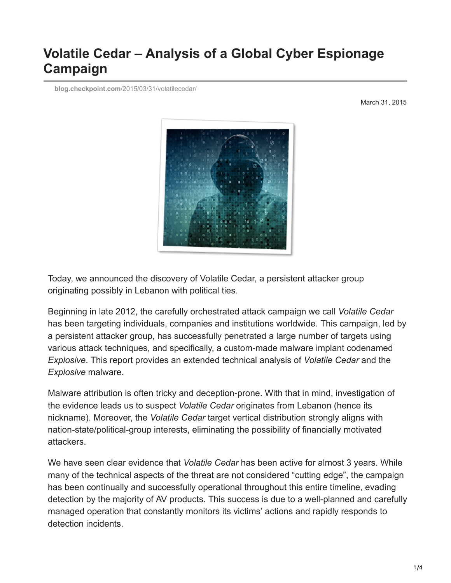# **Volatile Cedar – Analysis of a Global Cyber Espionage Campaign**

**blog.checkpoint.com**[/2015/03/31/volatilecedar/](https://blog.checkpoint.com/2015/03/31/volatilecedar/)

March 31, 2015



Today, we announced the discovery of Volatile Cedar, a persistent attacker group originating possibly in Lebanon with political ties.

Beginning in late 2012, the carefully orchestrated attack campaign we call *Volatile Cedar* has been targeting individuals, companies and institutions worldwide. This campaign, led by a persistent attacker group, has successfully penetrated a large number of targets using various attack techniques, and specifically, a custom-made malware implant codenamed *Explosive*. This report provides an extended technical analysis of *Volatile Cedar* and the *Explosive* malware.

Malware attribution is often tricky and deception-prone. With that in mind, investigation of the evidence leads us to suspect *Volatile Cedar* originates from Lebanon (hence its nickname). Moreover, the *Volatile Cedar* target vertical distribution strongly aligns with nation-state/political-group interests, eliminating the possibility of financially motivated attackers.

We have seen clear evidence that *Volatile Cedar* has been active for almost 3 years. While many of the technical aspects of the threat are not considered "cutting edge", the campaign has been continually and successfully operational throughout this entire timeline, evading detection by the majority of AV products. This success is due to a well-planned and carefully managed operation that constantly monitors its victims' actions and rapidly responds to detection incidents.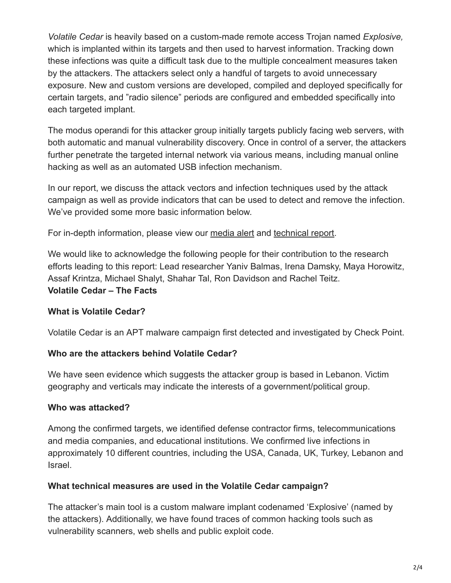*Volatile Cedar* is heavily based on a custom-made remote access Trojan named *Explosive,* which is implanted within its targets and then used to harvest information. Tracking down these infections was quite a difficult task due to the multiple concealment measures taken by the attackers. The attackers select only a handful of targets to avoid unnecessary exposure. New and custom versions are developed, compiled and deployed specifically for certain targets, and "radio silence" periods are configured and embedded specifically into each targeted implant.

The modus operandi for this attacker group initially targets publicly facing web servers, with both automatic and manual vulnerability discovery. Once in control of a server, the attackers further penetrate the targeted internal network via various means, including manual online hacking as well as an automated USB infection mechanism.

In our report, we discuss the attack vectors and infection techniques used by the attack campaign as well as provide indicators that can be used to detect and remove the infection. We've provided some more basic information below.

For in-depth information, please view our [media alert](http://www.checkpoint.com/press/2015/media-alert-check-point-researchers-discover-global-cyber-espionage-campaign-with-possible-link-to-lebanese-political-group/) and [technical report.](http://www.checkpoint.com/downloads/volatile-cedar-technical-report.pdf)

We would like to acknowledge the following people for their contribution to the research efforts leading to this report: Lead researcher Yaniv Balmas, Irena Damsky, Maya Horowitz, Assaf Krintza, Michael Shalyt, Shahar Tal, Ron Davidson and Rachel Teitz. **Volatile Cedar – The Facts**

# **What is Volatile Cedar?**

Volatile Cedar is an APT malware campaign first detected and investigated by Check Point.

## **Who are the attackers behind Volatile Cedar?**

We have seen evidence which suggests the attacker group is based in Lebanon. Victim geography and verticals may indicate the interests of a government/political group.

## **Who was attacked?**

Among the confirmed targets, we identified defense contractor firms, telecommunications and media companies, and educational institutions. We confirmed live infections in approximately 10 different countries, including the USA, Canada, UK, Turkey, Lebanon and Israel.

## **What technical measures are used in the Volatile Cedar campaign?**

The attacker's main tool is a custom malware implant codenamed 'Explosive' (named by the attackers). Additionally, we have found traces of common hacking tools such as vulnerability scanners, web shells and public exploit code.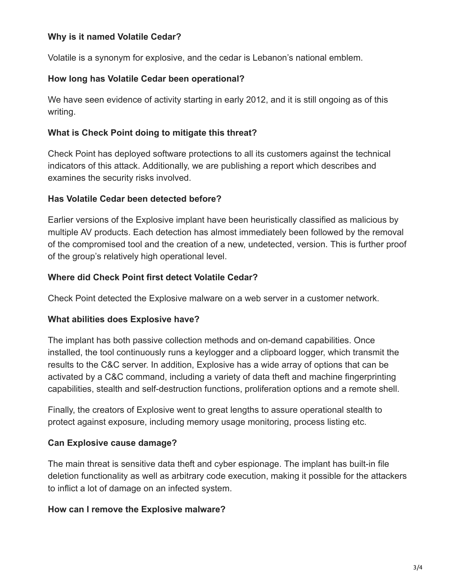## **Why is it named Volatile Cedar?**

Volatile is a synonym for explosive, and the cedar is Lebanon's national emblem.

## **How long has Volatile Cedar been operational?**

We have seen evidence of activity starting in early 2012, and it is still ongoing as of this writing.

## **What is Check Point doing to mitigate this threat?**

Check Point has deployed software protections to all its customers against the technical indicators of this attack. Additionally, we are publishing a report which describes and examines the security risks involved.

## **Has Volatile Cedar been detected before?**

Earlier versions of the Explosive implant have been heuristically classified as malicious by multiple AV products. Each detection has almost immediately been followed by the removal of the compromised tool and the creation of a new, undetected, version. This is further proof of the group's relatively high operational level.

## **Where did Check Point first detect Volatile Cedar?**

Check Point detected the Explosive malware on a web server in a customer network.

## **What abilities does Explosive have?**

The implant has both passive collection methods and on-demand capabilities. Once installed, the tool continuously runs a keylogger and a clipboard logger, which transmit the results to the C&C server. In addition, Explosive has a wide array of options that can be activated by a C&C command, including a variety of data theft and machine fingerprinting capabilities, stealth and self-destruction functions, proliferation options and a remote shell.

Finally, the creators of Explosive went to great lengths to assure operational stealth to protect against exposure, including memory usage monitoring, process listing etc.

# **Can Explosive cause damage?**

The main threat is sensitive data theft and cyber espionage. The implant has built-in file deletion functionality as well as arbitrary code execution, making it possible for the attackers to inflict a lot of damage on an infected system.

## **How can I remove the Explosive malware?**